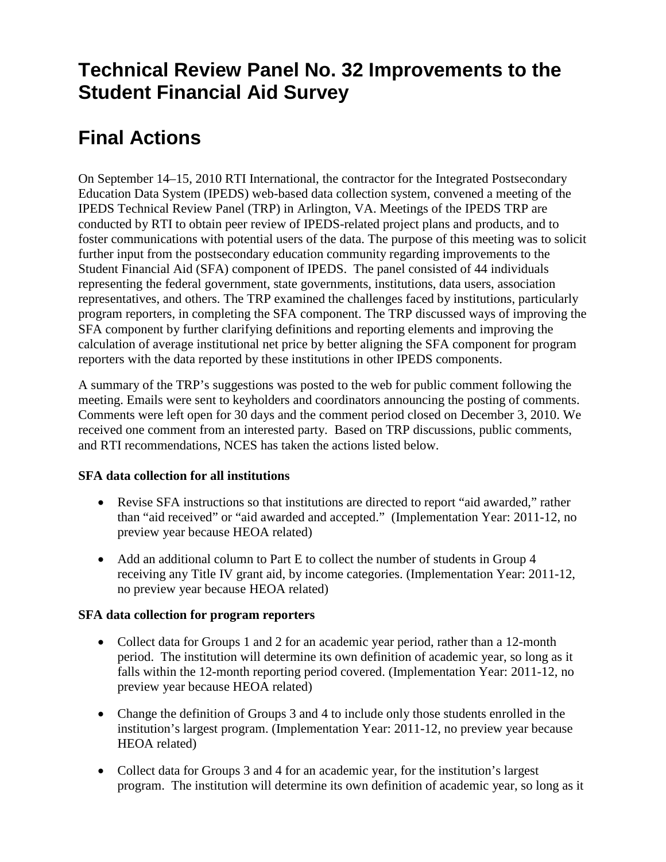## **Technical Review Panel No. 32 Improvements to the Student Financial Aid Survey**

# **Final Actions**

On September 14–15, 2010 RTI International, the contractor for the Integrated Postsecondary Education Data System (IPEDS) web-based data collection system, convened a meeting of the IPEDS Technical Review Panel (TRP) in Arlington, VA. Meetings of the IPEDS TRP are conducted by RTI to obtain peer review of IPEDS-related project plans and products, and to foster communications with potential users of the data. The purpose of this meeting was to solicit further input from the postsecondary education community regarding improvements to the Student Financial Aid (SFA) component of IPEDS. The panel consisted of 44 individuals representing the federal government, state governments, institutions, data users, association representatives, and others. The TRP examined the challenges faced by institutions, particularly program reporters, in completing the SFA component. The TRP discussed ways of improving the SFA component by further clarifying definitions and reporting elements and improving the calculation of average institutional net price by better aligning the SFA component for program reporters with the data reported by these institutions in other IPEDS components.

A summary of the TRP's suggestions was posted to the web for public comment following the meeting. Emails were sent to keyholders and coordinators announcing the posting of comments. Comments were left open for 30 days and the comment period closed on December 3, 2010. We received one comment from an interested party. Based on TRP discussions, public comments, and RTI recommendations, NCES has taken the actions listed below.

#### **SFA data collection for all institutions**

- Revise SFA instructions so that institutions are directed to report "aid awarded," rather than "aid received" or "aid awarded and accepted." (Implementation Year: 2011-12, no preview year because HEOA related)
- Add an additional column to Part E to collect the number of students in Group 4 receiving any Title IV grant aid, by income categories. (Implementation Year: 2011-12, no preview year because HEOA related)

#### **SFA data collection for program reporters**

- Collect data for Groups 1 and 2 for an academic year period, rather than a 12-month period. The institution will determine its own definition of academic year, so long as it falls within the 12-month reporting period covered. (Implementation Year: 2011-12, no preview year because HEOA related)
- Change the definition of Groups 3 and 4 to include only those students enrolled in the institution's largest program. (Implementation Year: 2011-12, no preview year because HEOA related)
- Collect data for Groups 3 and 4 for an academic year, for the institution's largest program. The institution will determine its own definition of academic year, so long as it